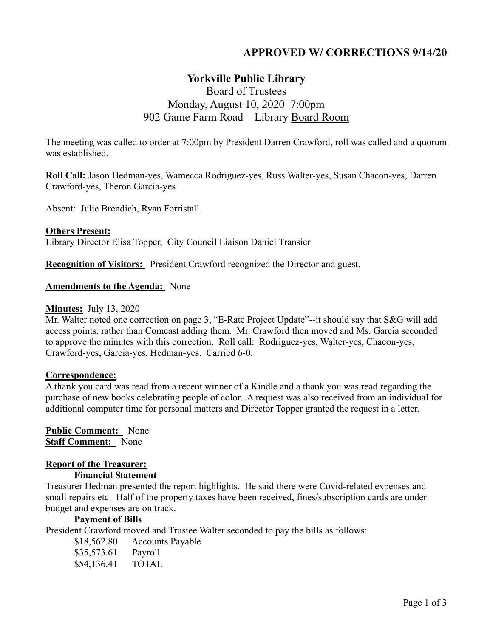# **APPROVED W/ CORRECTIONS 9/14/20**

# **Yorkville Public Library**

# Board of Trustees Monday, August 10, 2020 7:00pm 902 Game Farm Road – Library Board Room

The meeting was called to order at 7:00pm by President Darren Crawford, roll was called and a quorum was established.

**Roll Call:** Jason Hedman-yes, Wamecca Rodriguez-yes, Russ Walter-yes, Susan Chacon-yes, Darren Crawford-yes, Theron Garcia-yes

Absent: Julie Brendich, Ryan Forristall

#### **Others Present:**

Library Director Elisa Topper, City Council Liaison Daniel Transier

**Recognition of Visitors:** President Crawford recognized the Director and guest.

#### **Amendments to the Agenda:** None

#### **Minutes:** July 13, 2020

Mr. Walter noted one correction on page 3, "E-Rate Project Update"--it should say that S&G will add access points, rather than Comcast adding them. Mr. Crawford then moved and Ms. Garcia seconded to approve the minutes with this correction. Roll call: Rodriguez-yes, Walter-yes, Chacon-yes, Crawford-yes, Garcia-yes, Hedman-yes. Carried 6-0.

#### **Correspondence:**

A thank you card was read from a recent winner of a Kindle and a thank you was read regarding the purchase of new books celebrating people of color. A request was also received from an individual for additional computer time for personal matters and Director Topper granted the request in a letter.

**Public Comment:** None **Staff Comment:** None

### **Report of the Treasurer:**

#### **Financial Statement**

Treasurer Hedman presented the report highlights. He said there were Covid-related expenses and small repairs etc. Half of the property taxes have been received, fines/subscription cards are under budget and expenses are on track.

#### **Payment of Bills**

President Crawford moved and Trustee Walter seconded to pay the bills as follows:

- \$18,562.80 Accounts Payable
- \$35,573.61 Payroll
- \$54,136.41 TOTAL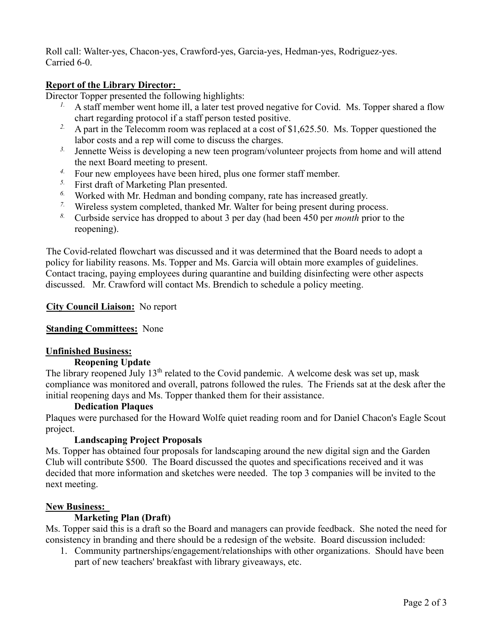Roll call: Walter-yes, Chacon-yes, Crawford-yes, Garcia-yes, Hedman-yes, Rodriguez-yes. Carried 6-0.

## **Report of the Library Director:**

Director Topper presented the following highlights:

- <sup>1.</sup> A staff member went home ill, a later test proved negative for Covid. Ms. Topper shared a flow chart regarding protocol if a staff person tested positive.
- <sup>2.</sup> A part in the Telecomm room was replaced at a cost of \$1,625.50. Ms. Topper questioned the labor costs and a rep will come to discuss the charges.
- <sup>3.</sup> Jennette Weiss is developing a new teen program/volunteer projects from home and will attend the next Board meeting to present.
- *4.* Four new employees have been hired, plus one former staff member.
- *5.* First draft of Marketing Plan presented.
- *6.* Worked with Mr. Hedman and bonding company, rate has increased greatly.
- *7.* Wireless system completed, thanked Mr. Walter for being present during process.
- *8.* Curbside service has dropped to about 3 per day (had been 450 per *month* prior to the reopening).

The Covid-related flowchart was discussed and it was determined that the Board needs to adopt a policy for liability reasons. Ms. Topper and Ms. Garcia will obtain more examples of guidelines. Contact tracing, paying employees during quarantine and building disinfecting were other aspects discussed. Mr. Crawford will contact Ms. Brendich to schedule a policy meeting.

# **City Council Liaison:** No report

# **Standing Committees:** None

# **Unfinished Business:**

### **Reopening Update**

The library reopened July  $13<sup>th</sup>$  related to the Covid pandemic. A welcome desk was set up, mask compliance was monitored and overall, patrons followed the rules. The Friends sat at the desk after the initial reopening days and Ms. Topper thanked them for their assistance.

### **Dedication Plaques**

Plaques were purchased for the Howard Wolfe quiet reading room and for Daniel Chacon's Eagle Scout project.

# **Landscaping Project Proposals**

Ms. Topper has obtained four proposals for landscaping around the new digital sign and the Garden Club will contribute \$500. The Board discussed the quotes and specifications received and it was decided that more information and sketches were needed. The top 3 companies will be invited to the next meeting.

# **New Business:**

# **Marketing Plan (Draft)**

Ms. Topper said this is a draft so the Board and managers can provide feedback. She noted the need for consistency in branding and there should be a redesign of the website. Board discussion included:

1. Community partnerships/engagement/relationships with other organizations. Should have been part of new teachers' breakfast with library giveaways, etc.